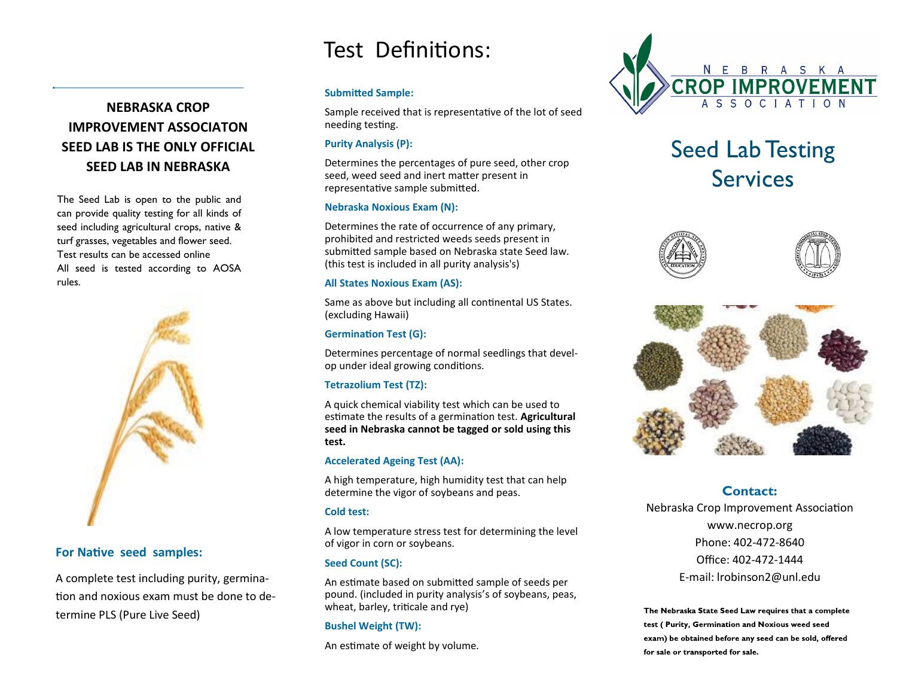# Test Definitions:

# **NEBRASKA CROP**

# **IMPROVEMENT ASSOCIATON SEED LAB IS THE ONLY OFFICIAL SEED LAB IN NEBRASKA**

The Seed Lab is open to the public and can provide quality testing for all kinds of seed including agricultural crops, native & turf grasses, vegetables and flower seed. Test results can be accessed online All seed is tested according to AOSA rules.



## **For Native seed samples:**

A complete test including purity, germination and noxious exam must be done to determine PLS (Pure Live Seed)

#### **Submitted Sample:**

Sample received that is representative of the lot of seed needing testing.

#### **Purity Analysis (P):**

Determines the percentages of pure seed, other crop seed, weed seed and inert matter present in representative sample submitted.

#### **Nebraska Noxious Exam (N):**

Determines the rate of occurrence of any primary, prohibited and restricted weeds seeds present in submitted sample based on Nebraska state Seed law. (this test is included in all purity analysis's)

#### **All States Noxious Exam (AS):**

Same as above but including all continental US States. (excluding Hawaii)

### **Germination Test (G):**

Determines percentage of normal seedlings that develop under ideal growing conditions.

### **Tetrazolium Test (TZ):**

A quick chemical viability test which can be used to estimate the results of a germination test. **Agricultural seed in Nebraska cannot be tagged or sold using this test.** 

### **Accelerated Ageing Test (AA):**

A high temperature, high humidity test that can help determine the vigor of soybeans and peas.

### **Cold test:**

A low temperature stress test for determining the level of vigor in corn or soybeans.

## **Seed Count (SC):**

An estimate based on submitted sample of seeds per pound. (included in purity analysis's of soybeans, peas, wheat, barley, triticale and rye)

### **Bushel Weight (TW):**

An estimate of weight by volume.



# Seed Lab Testing **Services**





# **Contact:**

Nebraska Crop Improvement Association www.necrop.org Phone: 402-472-8640 Office: 402-472-1444 E-mail: lrobinson2@unl.edu

The Nebraska State Seed Law requires that a complete test (Purity, Germination and Noxious weed seed exam) be obtained before any seed can be sold, offered for sale or transported for sale.